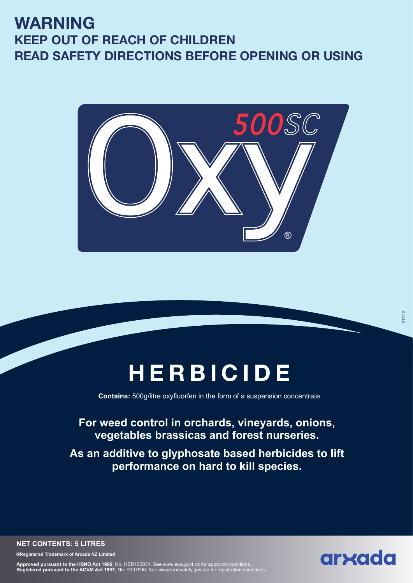## **WARNING KEEP OUT OF REACH OF CHILDREN READ SAFETY DIRECTIONS BEFORE OPENING OR USING**



# **HERBICIDE**

**Contains:** 500g/litre oxyfluorfen in the form of a suspension concentrate

### **For weed control in orchards, vineyards, onions, vegetables brassicas and forest nurseries.**

**As an additive to glyphosate based herbicides to lift performance on hard to kill species.**

**NET CONTENTS: 5 LITRES**

**®Registered Trademark of Arxada NZ Limited**

**Approved pursuant to the HSNO Act 1996**, No: HSR100031. See www.epa.govt.nz for approval conditions.<br>**Registered pursuant to the ACVM Act 1997**, No: P007996. See www.foodsafety.govt.nz for registration conditions.